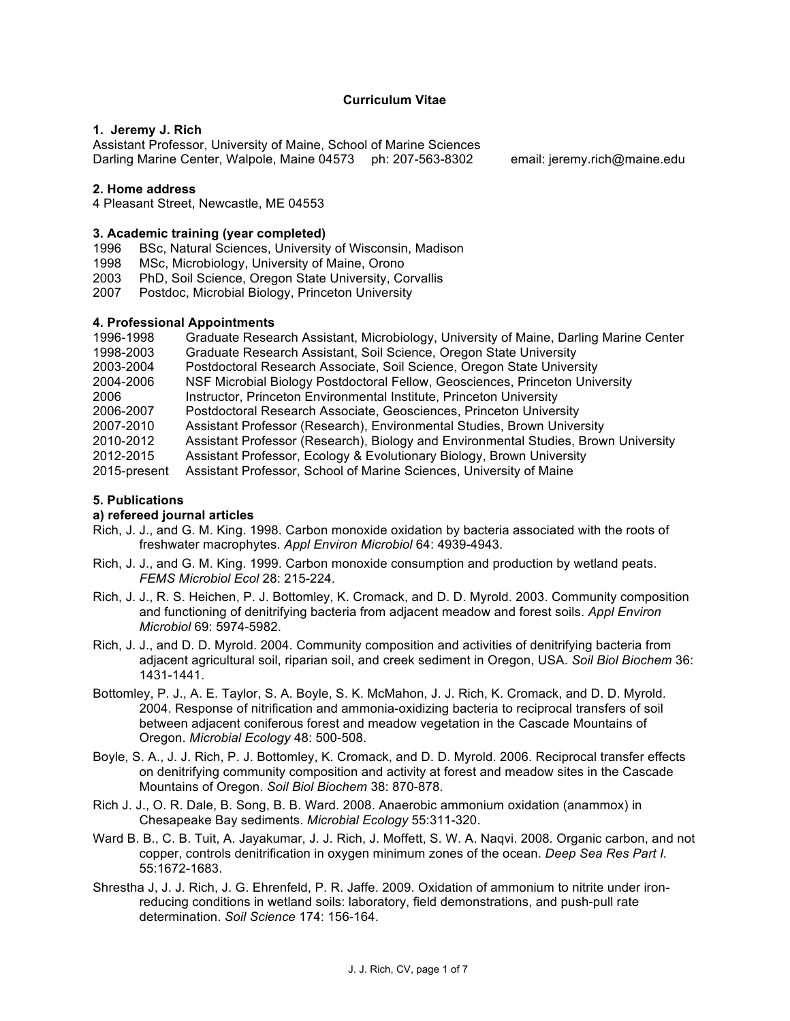## **Curriculum Vitae**

#### **1. Jeremy J. Rich**

Assistant Professor, University of Maine, School of Marine Sciences Darling Marine Center, Walpole, Maine 04573 ph: 207-563-8302 email: jeremy.rich@maine.edu

### **2. Home address**

4 Pleasant Street, Newcastle, ME 04553

### **3. Academic training (year completed)**

- 1996 BSc, Natural Sciences, University of Wisconsin, Madison
- 1998 MSc, Microbiology, University of Maine, Orono
- 2003 PhD, Soil Science, Oregon State University, Corvallis
- 2007 Postdoc, Microbial Biology, Princeton University

## **4. Professional Appointments**

| 1996-1998    | Graduate Research Assistant, Microbiology, University of Maine, Darling Marine Center |
|--------------|---------------------------------------------------------------------------------------|
| 1998-2003    | Graduate Research Assistant, Soil Science, Oregon State University                    |
| 2003-2004    | Postdoctoral Research Associate, Soil Science, Oregon State University                |
| 2004-2006    | NSF Microbial Biology Postdoctoral Fellow, Geosciences, Princeton University          |
| 2006         | Instructor, Princeton Environmental Institute, Princeton University                   |
| 2006-2007    | Postdoctoral Research Associate, Geosciences, Princeton University                    |
| 2007-2010    | Assistant Professor (Research), Environmental Studies, Brown University               |
| 2010-2012    | Assistant Professor (Research), Biology and Environmental Studies, Brown University   |
| 2012-2015    | Assistant Professor, Ecology & Evolutionary Biology, Brown University                 |
| 2015-present | Assistant Professor, School of Marine Sciences, University of Maine                   |

# **5. Publications**

### **a) refereed journal articles**

- Rich, J. J., and G. M. King. 1998. Carbon monoxide oxidation by bacteria associated with the roots of freshwater macrophytes. *Appl Environ Microbiol* 64: 4939-4943.
- Rich, J. J., and G. M. King. 1999. Carbon monoxide consumption and production by wetland peats. *FEMS Microbiol Ecol* 28: 215-224.
- Rich, J. J., R. S. Heichen, P. J. Bottomley, K. Cromack, and D. D. Myrold. 2003. Community composition and functioning of denitrifying bacteria from adjacent meadow and forest soils. *Appl Environ Microbiol* 69: 5974-5982.
- Rich, J. J., and D. D. Myrold. 2004. Community composition and activities of denitrifying bacteria from adjacent agricultural soil, riparian soil, and creek sediment in Oregon, USA. *Soil Biol Biochem* 36: 1431-1441.
- Bottomley, P. J., A. E. Taylor, S. A. Boyle, S. K. McMahon, J. J. Rich, K. Cromack, and D. D. Myrold. 2004. Response of nitrification and ammonia-oxidizing bacteria to reciprocal transfers of soil between adjacent coniferous forest and meadow vegetation in the Cascade Mountains of Oregon. *Microbial Ecology* 48: 500-508.
- Boyle, S. A., J. J. Rich, P. J. Bottomley, K. Cromack, and D. D. Myrold. 2006. Reciprocal transfer effects on denitrifying community composition and activity at forest and meadow sites in the Cascade Mountains of Oregon. *Soil Biol Biochem* 38: 870-878.
- Rich J. J., O. R. Dale, B. Song, B. B. Ward. 2008. Anaerobic ammonium oxidation (anammox) in Chesapeake Bay sediments. *Microbial Ecology* 55:311-320.
- Ward B. B., C. B. Tuit, A. Jayakumar, J. J. Rich, J. Moffett, S. W. A. Naqvi. 2008*.* Organic carbon, and not copper, controls denitrification in oxygen minimum zones of the ocean. *Deep Sea Res Part I.*  55:1672-1683.
- Shrestha J, J. J. Rich, J. G. Ehrenfeld, P. R. Jaffe. 2009. Oxidation of ammonium to nitrite under ironreducing conditions in wetland soils: laboratory, field demonstrations, and push-pull rate determination. *Soil Science* 174: 156-164.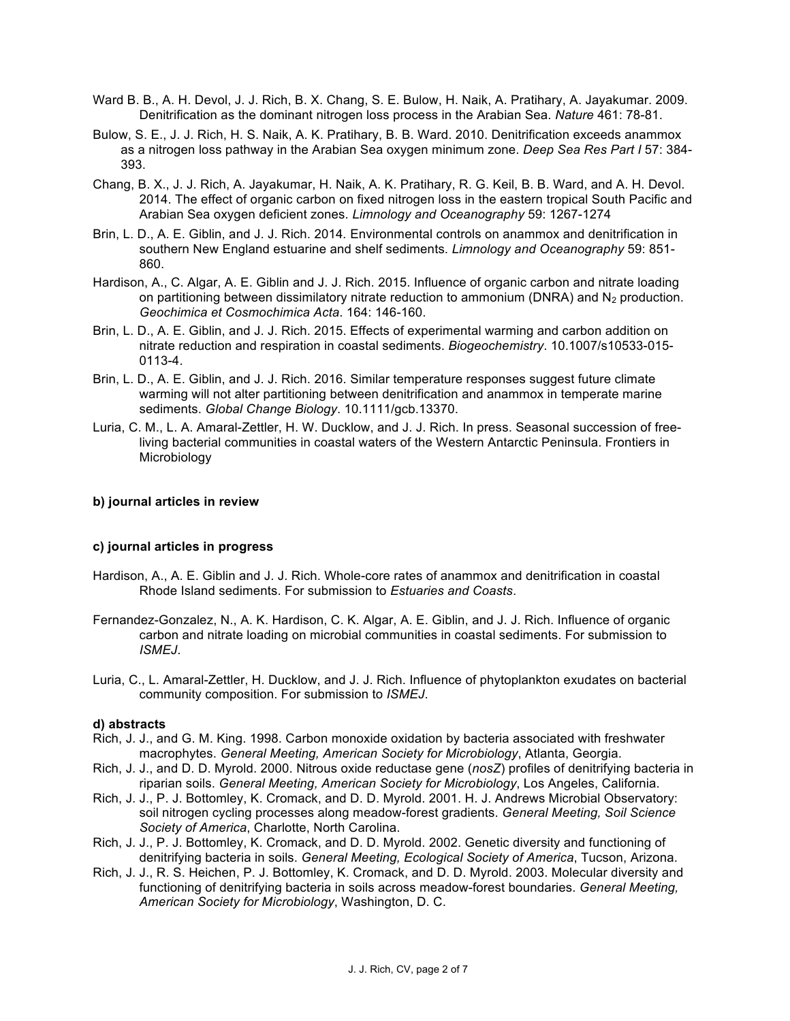- Ward B. B., A. H. Devol, J. J. Rich, B. X. Chang, S. E. Bulow, H. Naik, A. Pratihary, A. Jayakumar. 2009. Denitrification as the dominant nitrogen loss process in the Arabian Sea. *Nature* 461: 78-81.
- Bulow, S. E., J. J. Rich, H. S. Naik, A. K. Pratihary, B. B. Ward. 2010. Denitrification exceeds anammox as a nitrogen loss pathway in the Arabian Sea oxygen minimum zone. *Deep Sea Res Part I* 57: 384- 393.
- Chang, B. X., J. J. Rich, A. Jayakumar, H. Naik, A. K. Pratihary, R. G. Keil, B. B. Ward, and A. H. Devol. 2014. The effect of organic carbon on fixed nitrogen loss in the eastern tropical South Pacific and Arabian Sea oxygen deficient zones. *Limnology and Oceanography* 59: 1267-1274
- Brin, L. D., A. E. Giblin, and J. J. Rich. 2014*.* Environmental controls on anammox and denitrification in southern New England estuarine and shelf sediments. *Limnology and Oceanography* 59: 851- 860.
- Hardison, A., C. Algar, A. E. Giblin and J. J. Rich. 2015. Influence of organic carbon and nitrate loading on partitioning between dissimilatory nitrate reduction to ammonium (DNRA) and  $N_2$  production. *Geochimica et Cosmochimica Acta*. 164: 146-160.
- Brin, L. D., A. E. Giblin, and J. J. Rich. 2015. Effects of experimental warming and carbon addition on nitrate reduction and respiration in coastal sediments. *Biogeochemistry*. 10.1007/s10533-015- 0113-4.
- Brin, L. D., A. E. Giblin, and J. J. Rich. 2016. Similar temperature responses suggest future climate warming will not alter partitioning between denitrification and anammox in temperate marine sediments. *Global Change Biology*. 10.1111/gcb.13370.
- Luria, C. M., L. A. Amaral-Zettler, H. W. Ducklow, and J. J. Rich. In press. Seasonal succession of freeliving bacterial communities in coastal waters of the Western Antarctic Peninsula. Frontiers in **Microbiology**

#### **b) journal articles in review**

#### **c) journal articles in progress**

- Hardison, A., A. E. Giblin and J. J. Rich. Whole-core rates of anammox and denitrification in coastal Rhode Island sediments. For submission to *Estuaries and Coasts*.
- Fernandez-Gonzalez, N., A. K. Hardison, C. K. Algar, A. E. Giblin, and J. J. Rich. Influence of organic carbon and nitrate loading on microbial communities in coastal sediments. For submission to *ISMEJ*.
- Luria, C., L. Amaral-Zettler, H. Ducklow, and J. J. Rich. Influence of phytoplankton exudates on bacterial community composition. For submission to *ISMEJ*.

## **d) abstracts**

- Rich, J. J., and G. M. King. 1998. Carbon monoxide oxidation by bacteria associated with freshwater macrophytes. *General Meeting, American Society for Microbiology*, Atlanta, Georgia.
- Rich, J. J., and D. D. Myrold. 2000. Nitrous oxide reductase gene (*nosZ*) profiles of denitrifying bacteria in riparian soils. *General Meeting, American Society for Microbiology*, Los Angeles, California.
- Rich, J. J., P. J. Bottomley, K. Cromack, and D. D. Myrold. 2001. H. J. Andrews Microbial Observatory: soil nitrogen cycling processes along meadow-forest gradients. *General Meeting, Soil Science Society of America*, Charlotte, North Carolina.
- Rich, J. J., P. J. Bottomley, K. Cromack, and D. D. Myrold. 2002. Genetic diversity and functioning of denitrifying bacteria in soils. *General Meeting, Ecological Society of America*, Tucson, Arizona.
- Rich, J. J., R. S. Heichen, P. J. Bottomley, K. Cromack, and D. D. Myrold. 2003. Molecular diversity and functioning of denitrifying bacteria in soils across meadow-forest boundaries. *General Meeting, American Society for Microbiology*, Washington, D. C.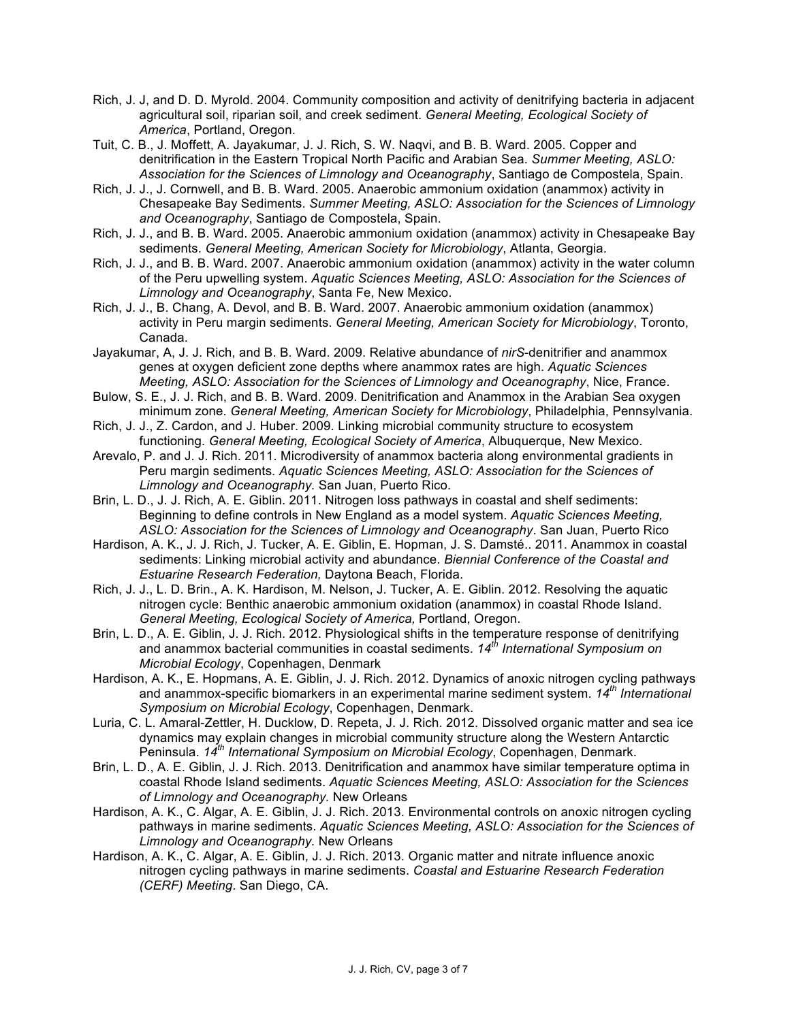- Rich, J. J, and D. D. Myrold. 2004. Community composition and activity of denitrifying bacteria in adjacent agricultural soil, riparian soil, and creek sediment. *General Meeting, Ecological Society of America*, Portland, Oregon.
- Tuit, C. B., J. Moffett, A. Jayakumar, J. J. Rich, S. W. Naqvi, and B. B. Ward. 2005. Copper and denitrification in the Eastern Tropical North Pacific and Arabian Sea. *Summer Meeting, ASLO: Association for the Sciences of Limnology and Oceanography*, Santiago de Compostela, Spain.
- Rich, J. J., J. Cornwell, and B. B. Ward. 2005. Anaerobic ammonium oxidation (anammox) activity in Chesapeake Bay Sediments. *Summer Meeting, ASLO: Association for the Sciences of Limnology and Oceanography*, Santiago de Compostela, Spain.
- Rich, J. J., and B. B. Ward. 2005. Anaerobic ammonium oxidation (anammox) activity in Chesapeake Bay sediments. *General Meeting, American Society for Microbiology*, Atlanta, Georgia.
- Rich, J. J., and B. B. Ward. 2007. Anaerobic ammonium oxidation (anammox) activity in the water column of the Peru upwelling system. *Aquatic Sciences Meeting, ASLO: Association for the Sciences of Limnology and Oceanography*, Santa Fe, New Mexico.
- Rich, J. J., B. Chang, A. Devol, and B. B. Ward. 2007. Anaerobic ammonium oxidation (anammox) activity in Peru margin sediments. *General Meeting, American Society for Microbiology*, Toronto, Canada.
- Jayakumar, A, J. J. Rich, and B. B. Ward. 2009. Relative abundance of *nirS*-denitrifier and anammox genes at oxygen deficient zone depths where anammox rates are high. *Aquatic Sciences Meeting, ASLO: Association for the Sciences of Limnology and Oceanography*, Nice, France.
- Bulow, S. E., J. J. Rich, and B. B. Ward. 2009. Denitrification and Anammox in the Arabian Sea oxygen minimum zone. *General Meeting, American Society for Microbiology*, Philadelphia, Pennsylvania.
- Rich, J. J., Z. Cardon, and J. Huber. 2009. Linking microbial community structure to ecosystem functioning. *General Meeting, Ecological Society of America*, Albuquerque, New Mexico.
- Arevalo, P. and J. J. Rich. 2011. Microdiversity of anammox bacteria along environmental gradients in Peru margin sediments. *Aquatic Sciences Meeting, ASLO: Association for the Sciences of Limnology and Oceanography.* San Juan, Puerto Rico.
- Brin, L. D., J. J. Rich, A. E. Giblin. 2011. Nitrogen loss pathways in coastal and shelf sediments: Beginning to define controls in New England as a model system. *Aquatic Sciences Meeting, ASLO: Association for the Sciences of Limnology and Oceanography*. San Juan, Puerto Rico
- Hardison, A. K., J. J. Rich, J. Tucker, A. E. Giblin, E. Hopman, J. S. Damsté.. 2011. Anammox in coastal sediments: Linking microbial activity and abundance. *Biennial Conference of the Coastal and Estuarine Research Federation,* Daytona Beach, Florida.
- Rich, J. J., L. D. Brin., A. K. Hardison, M. Nelson, J. Tucker, A. E. Giblin. 2012. Resolving the aquatic nitrogen cycle: Benthic anaerobic ammonium oxidation (anammox) in coastal Rhode Island. *General Meeting, Ecological Society of America,* Portland, Oregon.
- Brin, L. D., A. E. Giblin, J. J. Rich. 2012. Physiological shifts in the temperature response of denitrifying and anammox bacterial communities in coastal sediments. *14th International Symposium on Microbial Ecology*, Copenhagen, Denmark
- Hardison, A. K., E. Hopmans, A. E. Giblin, J. J. Rich. 2012. Dynamics of anoxic nitrogen cycling pathways and anammox-specific biomarkers in an experimental marine sediment system. *14th International Symposium on Microbial Ecology*, Copenhagen, Denmark.
- Luria, C. L. Amaral-Zettler, H. Ducklow, D. Repeta, J. J. Rich. 2012. Dissolved organic matter and sea ice dynamics may explain changes in microbial community structure along the Western Antarctic Peninsula. *14th International Symposium on Microbial Ecology*, Copenhagen, Denmark.
- Brin, L. D., A. E. Giblin, J. J. Rich. 2013. Denitrification and anammox have similar temperature optima in coastal Rhode Island sediments. *Aquatic Sciences Meeting, ASLO: Association for the Sciences of Limnology and Oceanography.* New Orleans
- Hardison, A. K., C. Algar, A. E. Giblin, J. J. Rich. 2013. Environmental controls on anoxic nitrogen cycling pathways in marine sediments. *Aquatic Sciences Meeting, ASLO: Association for the Sciences of Limnology and Oceanography.* New Orleans
- Hardison, A. K., C. Algar, A. E. Giblin, J. J. Rich. 2013. Organic matter and nitrate influence anoxic nitrogen cycling pathways in marine sediments. *Coastal and Estuarine Research Federation (CERF) Meeting*. San Diego, CA.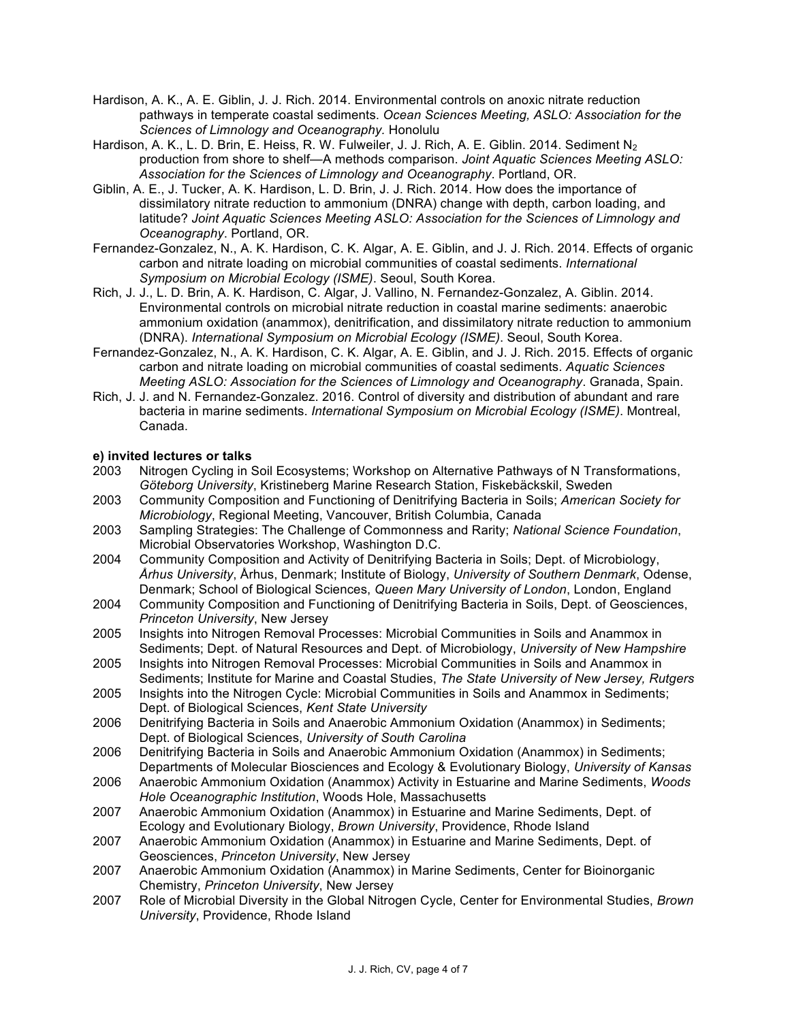- Hardison, A. K., A. E. Giblin, J. J. Rich. 2014. Environmental controls on anoxic nitrate reduction pathways in temperate coastal sediments. *Ocean Sciences Meeting, ASLO: Association for the Sciences of Limnology and Oceanography.* Honolulu
- Hardison, A. K., L. D. Brin, E. Heiss, R. W. Fulweiler, J. J. Rich, A. E. Giblin. 2014. Sediment N<sub>2</sub> production from shore to shelf—A methods comparison. *Joint Aquatic Sciences Meeting ASLO: Association for the Sciences of Limnology and Oceanography*. Portland, OR.
- Giblin, A. E., J. Tucker, A. K. Hardison, L. D. Brin, J. J. Rich. 2014. How does the importance of dissimilatory nitrate reduction to ammonium (DNRA) change with depth, carbon loading, and latitude? *Joint Aquatic Sciences Meeting ASLO: Association for the Sciences of Limnology and Oceanography*. Portland, OR.
- Fernandez-Gonzalez, N., A. K. Hardison, C. K. Algar, A. E. Giblin, and J. J. Rich. 2014. Effects of organic carbon and nitrate loading on microbial communities of coastal sediments. *International Symposium on Microbial Ecology (ISME)*. Seoul, South Korea.
- Rich, J. J., L. D. Brin, A. K. Hardison, C. Algar, J. Vallino, N. Fernandez-Gonzalez, A. Giblin. 2014. Environmental controls on microbial nitrate reduction in coastal marine sediments: anaerobic ammonium oxidation (anammox), denitrification, and dissimilatory nitrate reduction to ammonium (DNRA). *International Symposium on Microbial Ecology (ISME)*. Seoul, South Korea.
- Fernandez-Gonzalez, N., A. K. Hardison, C. K. Algar, A. E. Giblin, and J. J. Rich. 2015. Effects of organic carbon and nitrate loading on microbial communities of coastal sediments. *Aquatic Sciences Meeting ASLO: Association for the Sciences of Limnology and Oceanography*. Granada, Spain.
- Rich, J. J. and N. Fernandez-Gonzalez. 2016. Control of diversity and distribution of abundant and rare bacteria in marine sediments. *International Symposium on Microbial Ecology (ISME)*. Montreal, Canada.

## **e) invited lectures or talks**

- 2003 Nitrogen Cycling in Soil Ecosystems; Workshop on Alternative Pathways of N Transformations, *Göteborg University*, Kristineberg Marine Research Station, Fiskebäckskil, Sweden
- 2003 Community Composition and Functioning of Denitrifying Bacteria in Soils; *American Society for Microbiology*, Regional Meeting, Vancouver, British Columbia, Canada
- 2003 Sampling Strategies: The Challenge of Commonness and Rarity; *National Science Foundation*, Microbial Observatories Workshop, Washington D.C.
- 2004 Community Composition and Activity of Denitrifying Bacteria in Soils; Dept. of Microbiology, *Århus University*, Århus, Denmark; Institute of Biology, *University of Southern Denmark*, Odense, Denmark; School of Biological Sciences, *Queen Mary University of London*, London, England
- 2004 Community Composition and Functioning of Denitrifying Bacteria in Soils, Dept. of Geosciences, *Princeton University*, New Jersey
- 2005 Insights into Nitrogen Removal Processes: Microbial Communities in Soils and Anammox in Sediments; Dept. of Natural Resources and Dept. of Microbiology, *University of New Hampshire*
- 2005 Insights into Nitrogen Removal Processes: Microbial Communities in Soils and Anammox in Sediments; Institute for Marine and Coastal Studies, *The State University of New Jersey, Rutgers*
- 2005 Insights into the Nitrogen Cycle: Microbial Communities in Soils and Anammox in Sediments; Dept. of Biological Sciences, *Kent State University*
- 2006 Denitrifying Bacteria in Soils and Anaerobic Ammonium Oxidation (Anammox) in Sediments; Dept. of Biological Sciences, *University of South Carolina*
- 2006 Denitrifying Bacteria in Soils and Anaerobic Ammonium Oxidation (Anammox) in Sediments; Departments of Molecular Biosciences and Ecology & Evolutionary Biology, *University of Kansas*
- 2006 Anaerobic Ammonium Oxidation (Anammox) Activity in Estuarine and Marine Sediments, *Woods Hole Oceanographic Institution*, Woods Hole, Massachusetts
- 2007 Anaerobic Ammonium Oxidation (Anammox) in Estuarine and Marine Sediments, Dept. of Ecology and Evolutionary Biology, *Brown University*, Providence, Rhode Island
- 2007 Anaerobic Ammonium Oxidation (Anammox) in Estuarine and Marine Sediments, Dept. of Geosciences, *Princeton University*, New Jersey
- 2007 Anaerobic Ammonium Oxidation (Anammox) in Marine Sediments, Center for Bioinorganic Chemistry, *Princeton University*, New Jersey
- 2007 Role of Microbial Diversity in the Global Nitrogen Cycle, Center for Environmental Studies, *Brown University*, Providence, Rhode Island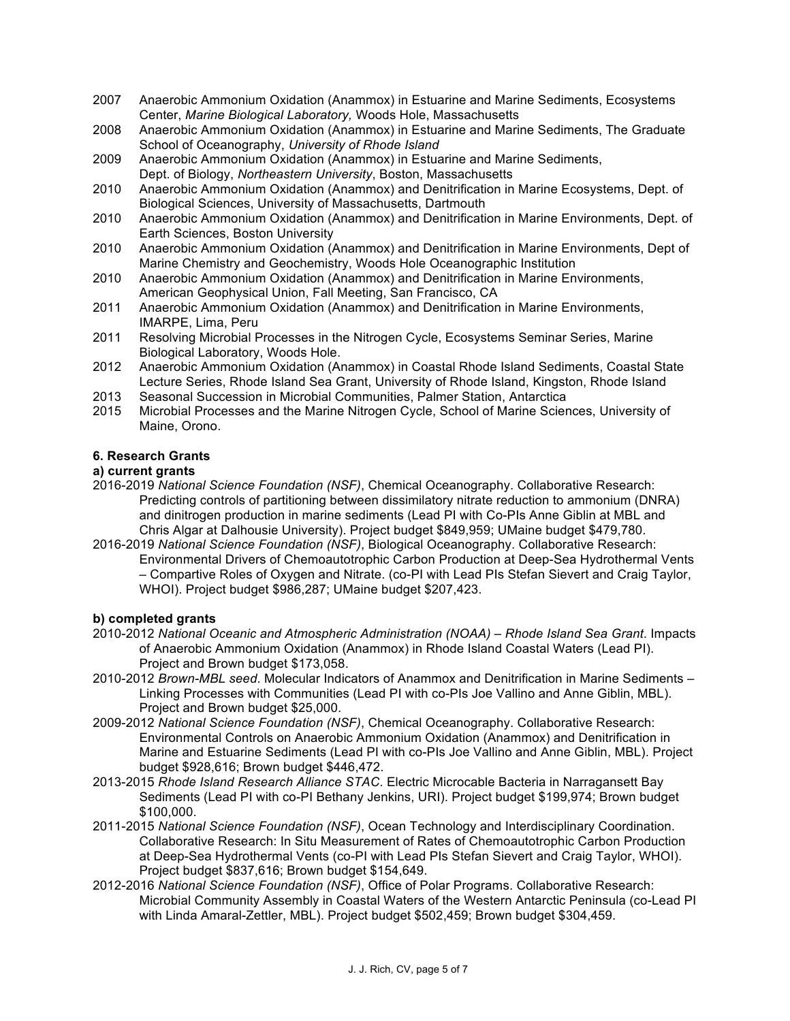- 2007 Anaerobic Ammonium Oxidation (Anammox) in Estuarine and Marine Sediments, Ecosystems Center, *Marine Biological Laboratory,* Woods Hole, Massachusetts
- 2008 Anaerobic Ammonium Oxidation (Anammox) in Estuarine and Marine Sediments, The Graduate School of Oceanography, *University of Rhode Island*
- 2009 Anaerobic Ammonium Oxidation (Anammox) in Estuarine and Marine Sediments, Dept. of Biology, *Northeastern University*, Boston, Massachusetts
- 2010 Anaerobic Ammonium Oxidation (Anammox) and Denitrification in Marine Ecosystems, Dept. of Biological Sciences, University of Massachusetts, Dartmouth
- 2010 Anaerobic Ammonium Oxidation (Anammox) and Denitrification in Marine Environments, Dept. of Earth Sciences, Boston University
- 2010 Anaerobic Ammonium Oxidation (Anammox) and Denitrification in Marine Environments, Dept of Marine Chemistry and Geochemistry, Woods Hole Oceanographic Institution
- 2010 Anaerobic Ammonium Oxidation (Anammox) and Denitrification in Marine Environments, American Geophysical Union, Fall Meeting, San Francisco, CA
- 2011 Anaerobic Ammonium Oxidation (Anammox) and Denitrification in Marine Environments, IMARPE, Lima, Peru
- 2011 Resolving Microbial Processes in the Nitrogen Cycle, Ecosystems Seminar Series, Marine Biological Laboratory, Woods Hole.
- 2012 Anaerobic Ammonium Oxidation (Anammox) in Coastal Rhode Island Sediments, Coastal State Lecture Series, Rhode Island Sea Grant, University of Rhode Island, Kingston, Rhode Island
- 2013 Seasonal Succession in Microbial Communities, Palmer Station, Antarctica
- 2015 Microbial Processes and the Marine Nitrogen Cycle, School of Marine Sciences, University of Maine, Orono.

## **6. Research Grants**

## **a) current grants**

- 2016-2019 *National Science Foundation (NSF)*, Chemical Oceanography. Collaborative Research: Predicting controls of partitioning between dissimilatory nitrate reduction to ammonium (DNRA) and dinitrogen production in marine sediments (Lead PI with Co-PIs Anne Giblin at MBL and Chris Algar at Dalhousie University). Project budget \$849,959; UMaine budget \$479,780.
- 2016-2019 *National Science Foundation (NSF)*, Biological Oceanography. Collaborative Research: Environmental Drivers of Chemoautotrophic Carbon Production at Deep-Sea Hydrothermal Vents – Compartive Roles of Oxygen and Nitrate. (co-PI with Lead PIs Stefan Sievert and Craig Taylor, WHOI). Project budget \$986,287; UMaine budget \$207,423.

#### **b) completed grants**

- 2010-2012 *National Oceanic and Atmospheric Administration (NOAA) – Rhode Island Sea Grant*. Impacts of Anaerobic Ammonium Oxidation (Anammox) in Rhode Island Coastal Waters (Lead PI). Project and Brown budget \$173,058.
- 2010-2012 *Brown-MBL seed*. Molecular Indicators of Anammox and Denitrification in Marine Sediments Linking Processes with Communities (Lead PI with co-PIs Joe Vallino and Anne Giblin, MBL). Project and Brown budget \$25,000.
- 2009-2012 *National Science Foundation (NSF)*, Chemical Oceanography. Collaborative Research: Environmental Controls on Anaerobic Ammonium Oxidation (Anammox) and Denitrification in Marine and Estuarine Sediments (Lead PI with co-PIs Joe Vallino and Anne Giblin, MBL). Project budget \$928,616; Brown budget \$446,472.
- 2013-2015 *Rhode Island Research Alliance STAC*. Electric Microcable Bacteria in Narragansett Bay Sediments (Lead PI with co-PI Bethany Jenkins, URI). Project budget \$199,974; Brown budget \$100,000.
- 2011-2015 *National Science Foundation (NSF)*, Ocean Technology and Interdisciplinary Coordination. Collaborative Research: In Situ Measurement of Rates of Chemoautotrophic Carbon Production at Deep-Sea Hydrothermal Vents (co-PI with Lead PIs Stefan Sievert and Craig Taylor, WHOI). Project budget \$837,616; Brown budget \$154,649.
- 2012-2016 *National Science Foundation (NSF)*, Office of Polar Programs. Collaborative Research: Microbial Community Assembly in Coastal Waters of the Western Antarctic Peninsula (co-Lead PI with Linda Amaral-Zettler, MBL). Project budget \$502,459; Brown budget \$304,459.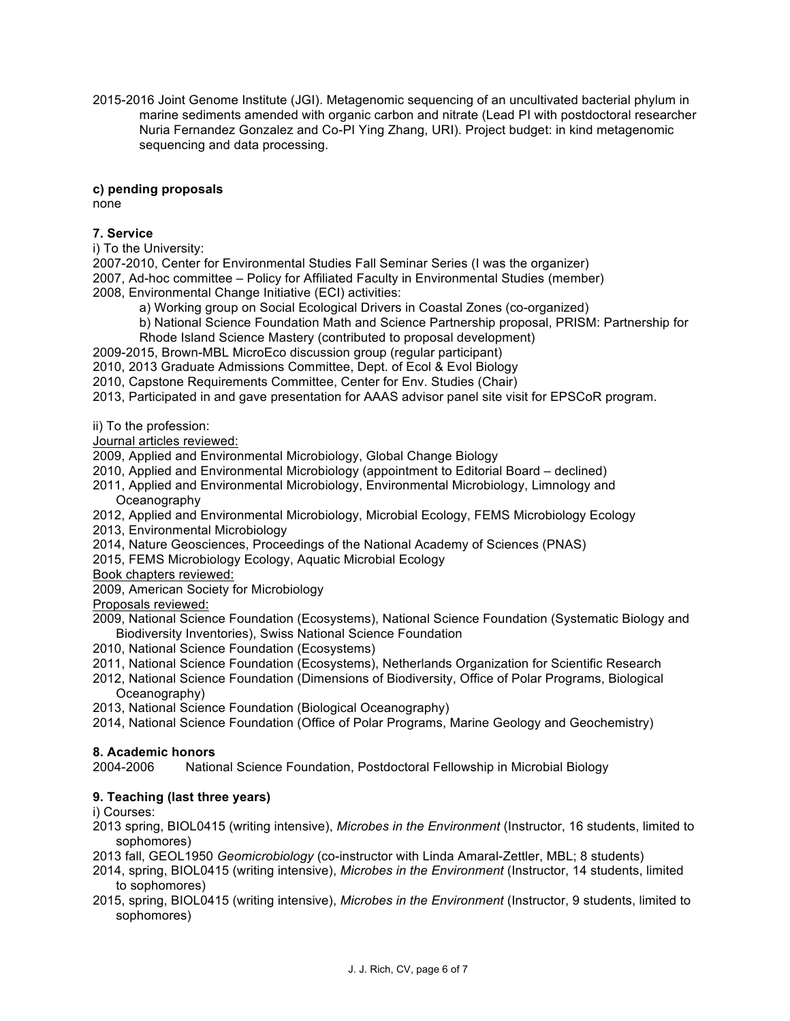2015-2016 Joint Genome Institute (JGI). Metagenomic sequencing of an uncultivated bacterial phylum in marine sediments amended with organic carbon and nitrate (Lead PI with postdoctoral researcher Nuria Fernandez Gonzalez and Co-PI Ying Zhang, URI). Project budget: in kind metagenomic sequencing and data processing.

## **c) pending proposals**

none

# **7. Service**

i) To the University:

2007-2010, Center for Environmental Studies Fall Seminar Series (I was the organizer) 2007, Ad-hoc committee – Policy for Affiliated Faculty in Environmental Studies (member) 2008, Environmental Change Initiative (ECI) activities:

a) Working group on Social Ecological Drivers in Coastal Zones (co-organized)

- b) National Science Foundation Math and Science Partnership proposal, PRISM: Partnership for
- Rhode Island Science Mastery (contributed to proposal development)
- 2009-2015, Brown-MBL MicroEco discussion group (regular participant)
- 2010, 2013 Graduate Admissions Committee, Dept. of Ecol & Evol Biology
- 2010, Capstone Requirements Committee, Center for Env. Studies (Chair)

2013, Participated in and gave presentation for AAAS advisor panel site visit for EPSCoR program.

ii) To the profession:

Journal articles reviewed:

2009, Applied and Environmental Microbiology, Global Change Biology

- 2010, Applied and Environmental Microbiology (appointment to Editorial Board declined)
- 2011, Applied and Environmental Microbiology, Environmental Microbiology, Limnology and **Oceanography**
- 2012, Applied and Environmental Microbiology, Microbial Ecology, FEMS Microbiology Ecology
- 2013, Environmental Microbiology
- 2014, Nature Geosciences, Proceedings of the National Academy of Sciences (PNAS)
- 2015, FEMS Microbiology Ecology, Aquatic Microbial Ecology
- Book chapters reviewed:

2009, American Society for Microbiology

Proposals reviewed:

2009, National Science Foundation (Ecosystems), National Science Foundation (Systematic Biology and Biodiversity Inventories), Swiss National Science Foundation

- 2010, National Science Foundation (Ecosystems)
- 2011, National Science Foundation (Ecosystems), Netherlands Organization for Scientific Research
- 2012, National Science Foundation (Dimensions of Biodiversity, Office of Polar Programs, Biological Oceanography)
- 2013, National Science Foundation (Biological Oceanography)
- 2014, National Science Foundation (Office of Polar Programs, Marine Geology and Geochemistry)

#### **8. Academic honors**

2004-2006 National Science Foundation, Postdoctoral Fellowship in Microbial Biology

# **9. Teaching (last three years)**

i) Courses:

- 2013 spring, BIOL0415 (writing intensive), *Microbes in the Environment* (Instructor, 16 students, limited to sophomores)
- 2013 fall, GEOL1950 *Geomicrobiology* (co-instructor with Linda Amaral-Zettler, MBL; 8 students)
- 2014, spring, BIOL0415 (writing intensive), *Microbes in the Environment* (Instructor, 14 students, limited to sophomores)
- 2015, spring, BIOL0415 (writing intensive), *Microbes in the Environment* (Instructor, 9 students, limited to sophomores)